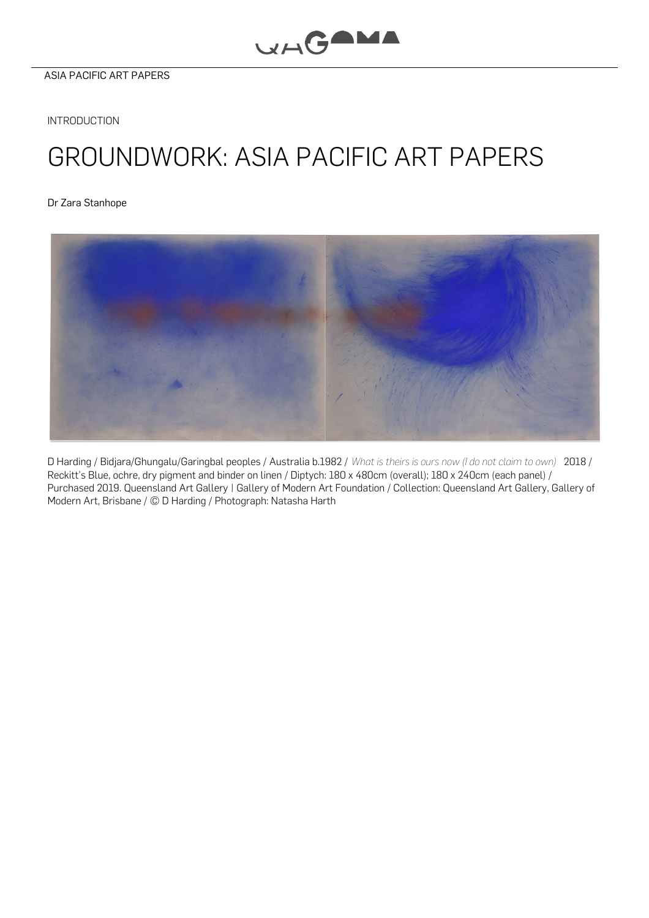**INTRODUCTION** 

## GROUNDWORK: ASIA PACIFIC ART PAPERS

Dr Zara [Stanhope](#page-2-0)



D Harding / Bidjara/Ghungalu/Garingbal peoples / Australia b.1982 / *What is theirs is ours now (I do not claim to own)* 2018 / Reckitt's Blue, ochre, dry pigment and binder on linen / Diptych: 180 x 480cm (overall); 180 x 240cm (each panel) / Purchased 2019. Queensland Art Gallery | Gallery of Modern Art Foundation / Collection: Queensland Art Gallery, Gallery of Modern Art, Brisbane / © D Harding / Photograph: Natasha Harth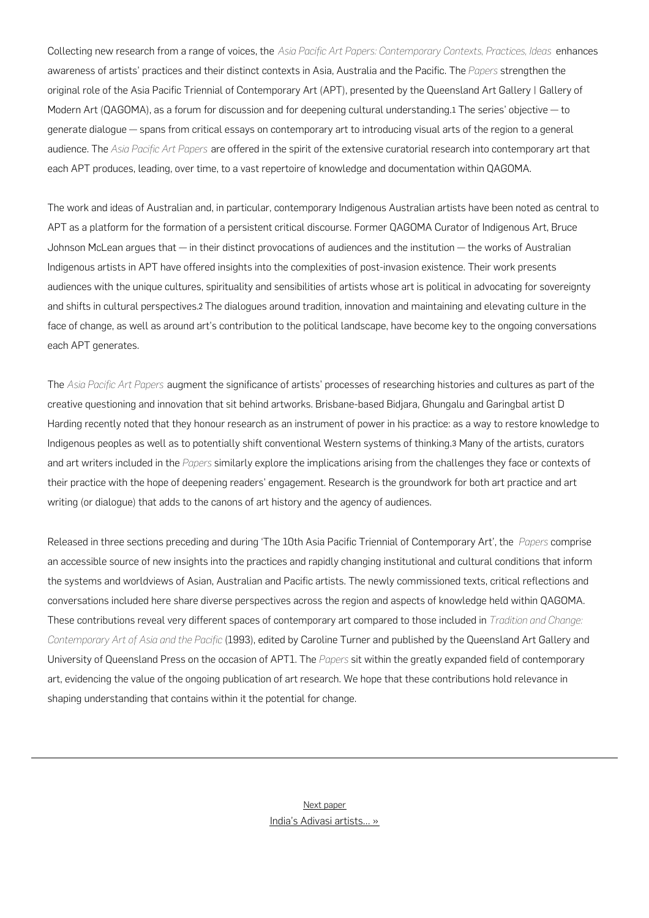Collecting new research from a range of voices, the *Asia Pacific Art Papers: Contemporary Contexts, Practices, Ideas* enhances awareness of artists' practices and their distinct contexts in Asia, Australia and the Pacific. The *Papers* strengthen the original role of the Asia Pacific Triennial of Contemporary Art (APT), presented by the Queensland Art Gallery | Gallery of Modern Art (QAGOMA), as a forum for discussion and for deepening cultural understanding.[1](#page-2-1) The series' objective — to generate dialogue — spans from critical essays on contemporary art to introducing visual arts of the region to a general audience. The *Asia Pacific Art Papers* are offered in the spirit of the extensive curatorial research into contemporary art that each APT produces, leading, over time, to a vast repertoire of knowledge and documentation within QAGOMA.

The work and ideas of Australian and, in particular, contemporary Indigenous Australian artists have been noted as central to APT as a platform for the formation of a persistent critical discourse. Former QAGOMA Curator of Indigenous Art, Bruce Johnson McLean argues that — in their distinct provocations of audiences and the institution — the works of Australian Indigenous artists in APT have offered insights into the complexities of post-invasion existence. Their work presents audiences with the unique cultures, spirituality and sensibilities of artists whose art is political in advocating for sovereignty and shifts in cultural perspectives.[2](#page-2-2) The dialogues around tradition, innovation and maintaining and elevating culture in the face of change, as well as around art's contribution to the political landscape, have become key to the ongoing conversations each APT generates.

The *Asia Pacific Art Papers* augment the significance of artists' processes of researching histories and cultures as part of the creative questioning and innovation that sit behind artworks. Brisbane-based Bidjara, Ghungalu and Garingbal artist D Harding recently noted that they honour research as an instrument of power in his practice: as a way to restore knowledge to Indigenous peoples as well as to potentially shift conventional Western systems of thinking.[3](#page-2-3) Many of the artists, curators and art writers included in the *Papers* similarly explore the implications arising from the challenges they face or contexts of their practice with the hope of deepening readers' engagement. Research is the groundwork for both art practice and art writing (or dialogue) that adds to the canons of art history and the agency of audiences.

Released in three sections preceding and during 'The 10th Asia Pacific Triennial of Contemporary Art', the *Papers* comprise an accessible source of new insights into the practices and rapidly changing institutional and cultural conditions that inform the systems and worldviews of Asian, Australian and Pacific artists. The newly commissioned texts, critical reflections and conversations included here share diverse perspectives across the region and aspects of knowledge held within QAGOMA. These contributions reveal very different spaces of contemporary art compared to those included in *Tradition and Change: Contemporary Art of Asia and the Pacific* (1993), edited by Caroline Turner and published by the Queensland Art Gallery and University of Queensland Press on the occasion of APT1. The *Papers* sit within the greatly expanded field of contemporary art, evidencing the value of the ongoing publication of art research. We hope that these contributions hold relevance in shaping understanding that contains within it the potential for change.

> India's Adivasi [artists…](https://apap.qagoma.qld.gov.au/indias-adivasi-artists-and-other-masters-confronting-the-establishment-for-an-evolving-contemporary/) » Next paper